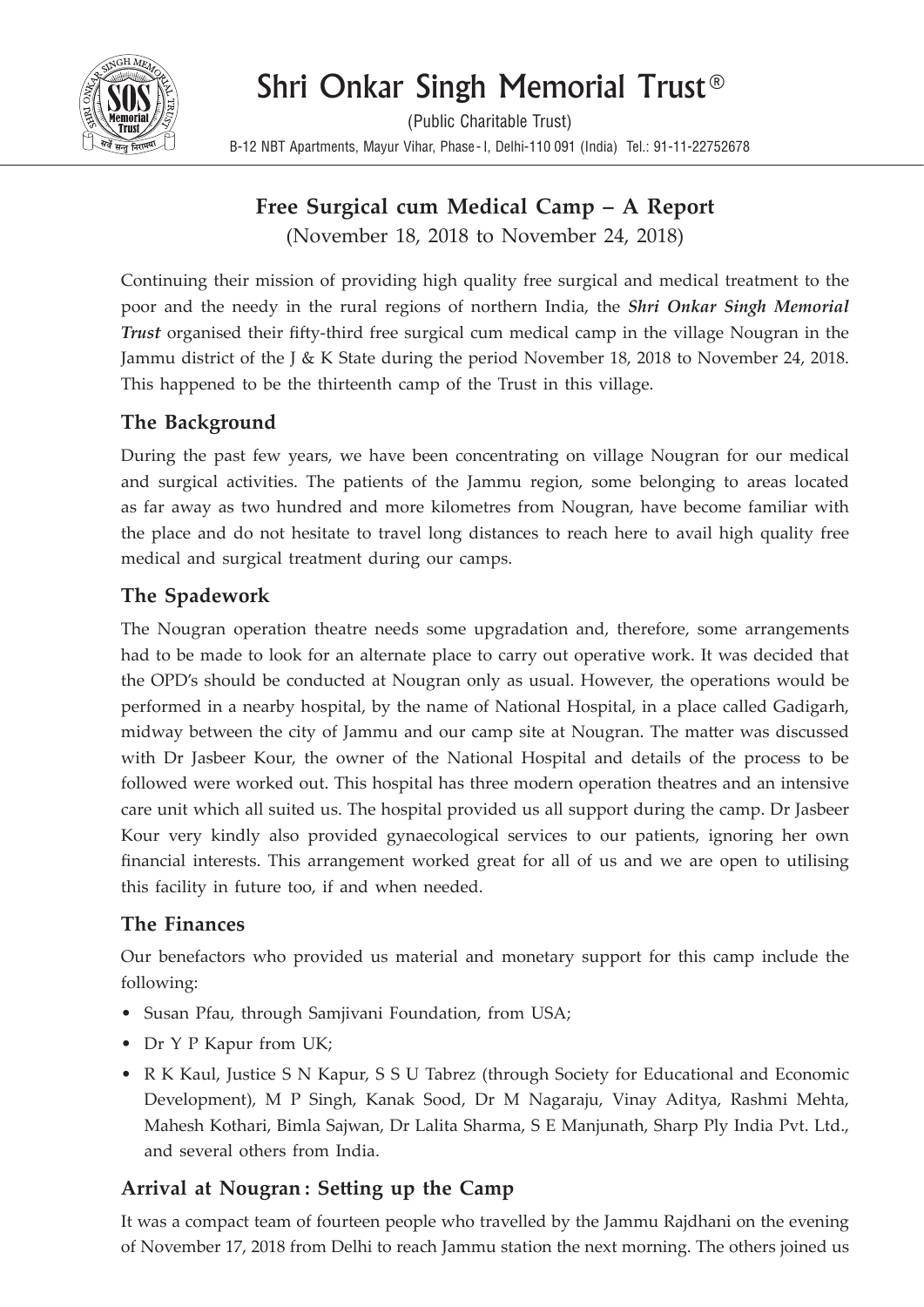

# Shri Onkar Singh Memorial Trust®

(Public Charitable Trust) B-12 NBT Apartments, Mayur Vihar, Phase- I, Delhi-110 091 (India) Tel.: 91-11-22752678

# **Free Surgical cum Medical Camp – A Report**

(November 18, 2018 to November 24, 2018)

Continuing their mission of providing high quality free surgical and medical treatment to the poor and the needy in the rural regions of northern India, the *Shri Onkar Singh Memorial Trust* organised their fifty-third free surgical cum medical camp in the village Nougran in the Jammu district of the J & K State during the period November 18, 2018 to November 24, 2018. This happened to be the thirteenth camp of the Trust in this village.

## **The Background**

During the past few years, we have been concentrating on village Nougran for our medical and surgical activities. The patients of the Jammu region, some belonging to areas located as far away as two hundred and more kilometres from Nougran, have become familiar with the place and do not hesitate to travel long distances to reach here to avail high quality free medical and surgical treatment during our camps.

# **The Spadework**

The Nougran operation theatre needs some upgradation and, therefore, some arrangements had to be made to look for an alternate place to carry out operative work. It was decided that the OPD's should be conducted at Nougran only as usual. However, the operations would be performed in a nearby hospital, by the name of National Hospital, in a place called Gadigarh, midway between the city of Jammu and our camp site at Nougran. The matter was discussed with Dr Jasbeer Kour, the owner of the National Hospital and details of the process to be followed were worked out. This hospital has three modern operation theatres and an intensive care unit which all suited us. The hospital provided us all support during the camp. Dr Jasbeer Kour very kindly also provided gynaecological services to our patients, ignoring her own financial interests. This arrangement worked great for all of us and we are open to utilising this facility in future too, if and when needed.

#### **The Finances**

Our benefactors who provided us material and monetary support for this camp include the following:

- Susan Pfau, through Samjivani Foundation, from USA;
- Dr Y P Kapur from UK;
- R K Kaul, Justice S N Kapur, S S U Tabrez (through Society for Educational and Economic Development), M P Singh, Kanak Sood, Dr M Nagaraju, Vinay Aditya, Rashmi Mehta, Mahesh Kothari, Bimla Sajwan, Dr Lalita Sharma, S E Manjunath, Sharp Ply India Pvt. Ltd., and several others from India.

## **Arrival at Nougran : Setting up the Camp**

It was a compact team of fourteen people who travelled by the Jammu Rajdhani on the evening of November 17, 2018 from Delhi to reach Jammu station the next morning. The others joined us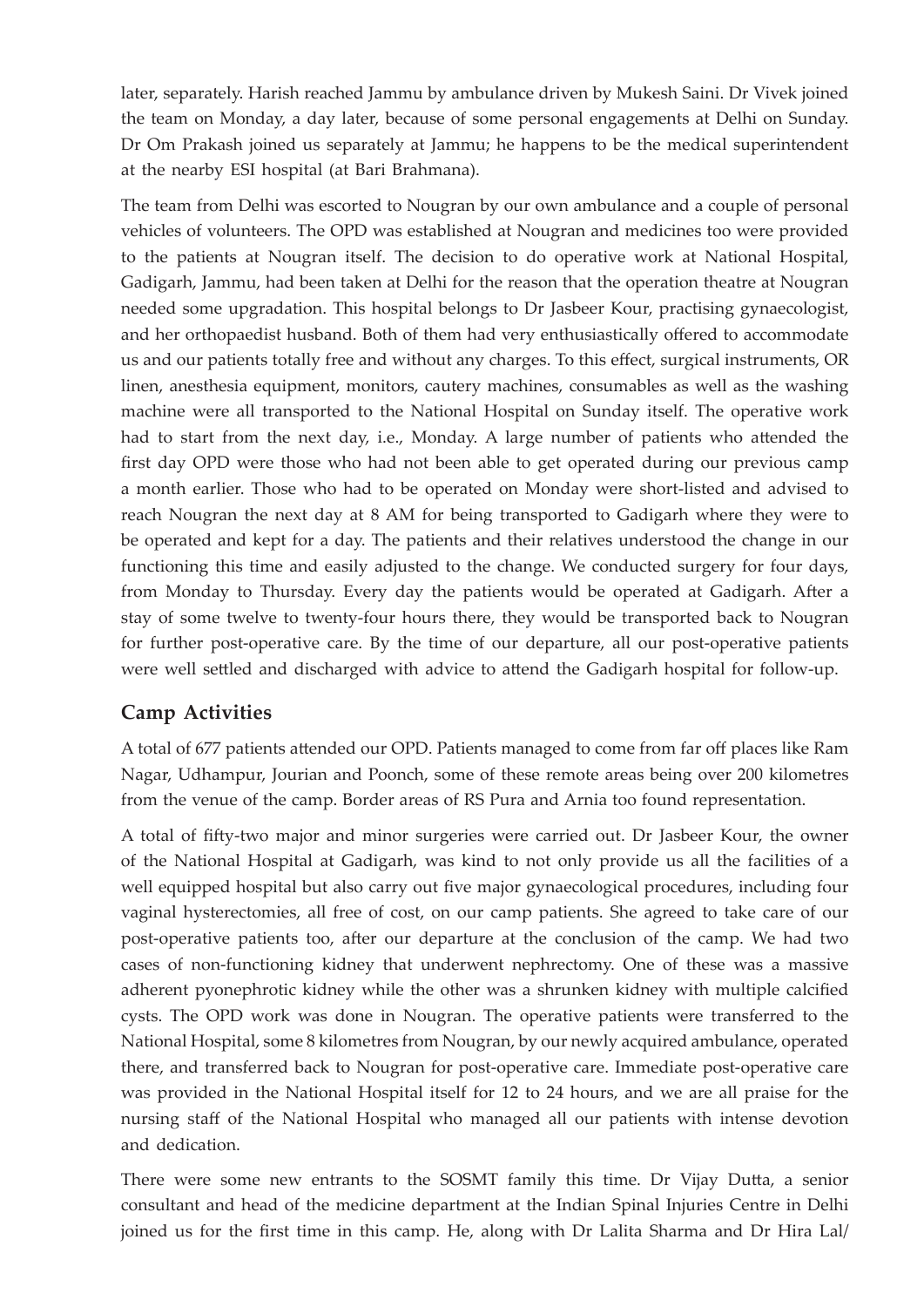later, separately. Harish reached Jammu by ambulance driven by Mukesh Saini. Dr Vivek joined the team on Monday, a day later, because of some personal engagements at Delhi on Sunday. Dr Om Prakash joined us separately at Jammu; he happens to be the medical superintendent at the nearby ESI hospital (at Bari Brahmana).

The team from Delhi was escorted to Nougran by our own ambulance and a couple of personal vehicles of volunteers. The OPD was established at Nougran and medicines too were provided to the patients at Nougran itself. The decision to do operative work at National Hospital, Gadigarh, Jammu, had been taken at Delhi for the reason that the operation theatre at Nougran needed some upgradation. This hospital belongs to Dr Jasbeer Kour, practising gynaecologist, and her orthopaedist husband. Both of them had very enthusiastically offered to accommodate us and our patients totally free and without any charges. To this effect, surgical instruments, OR linen, anesthesia equipment, monitors, cautery machines, consumables as well as the washing machine were all transported to the National Hospital on Sunday itself. The operative work had to start from the next day, i.e., Monday. A large number of patients who attended the first day OPD were those who had not been able to get operated during our previous camp a month earlier. Those who had to be operated on Monday were short-listed and advised to reach Nougran the next day at 8 AM for being transported to Gadigarh where they were to be operated and kept for a day. The patients and their relatives understood the change in our functioning this time and easily adjusted to the change. We conducted surgery for four days, from Monday to Thursday. Every day the patients would be operated at Gadigarh. After a stay of some twelve to twenty-four hours there, they would be transported back to Nougran for further post-operative care. By the time of our departure, all our post-operative patients were well settled and discharged with advice to attend the Gadigarh hospital for follow-up.

#### **Camp Activities**

A total of 677 patients attended our OPD. Patients managed to come from far off places like Ram Nagar, Udhampur, Jourian and Poonch, some of these remote areas being over 200 kilometres from the venue of the camp. Border areas of RS Pura and Arnia too found representation.

A total of fifty-two major and minor surgeries were carried out. Dr Jasbeer Kour, the owner of the National Hospital at Gadigarh, was kind to not only provide us all the facilities of a well equipped hospital but also carry out five major gynaecological procedures, including four vaginal hysterectomies, all free of cost, on our camp patients. She agreed to take care of our post-operative patients too, after our departure at the conclusion of the camp. We had two cases of non-functioning kidney that underwent nephrectomy. One of these was a massive adherent pyonephrotic kidney while the other was a shrunken kidney with multiple calcified cysts. The OPD work was done in Nougran. The operative patients were transferred to the National Hospital, some 8 kilometres from Nougran, by our newly acquired ambulance, operated there, and transferred back to Nougran for post-operative care. Immediate post-operative care was provided in the National Hospital itself for 12 to 24 hours, and we are all praise for the nursing staff of the National Hospital who managed all our patients with intense devotion and dedication.

There were some new entrants to the SOSMT family this time. Dr Vijay Dutta, a senior consultant and head of the medicine department at the Indian Spinal Injuries Centre in Delhi joined us for the first time in this camp. He, along with Dr Lalita Sharma and Dr Hira Lal/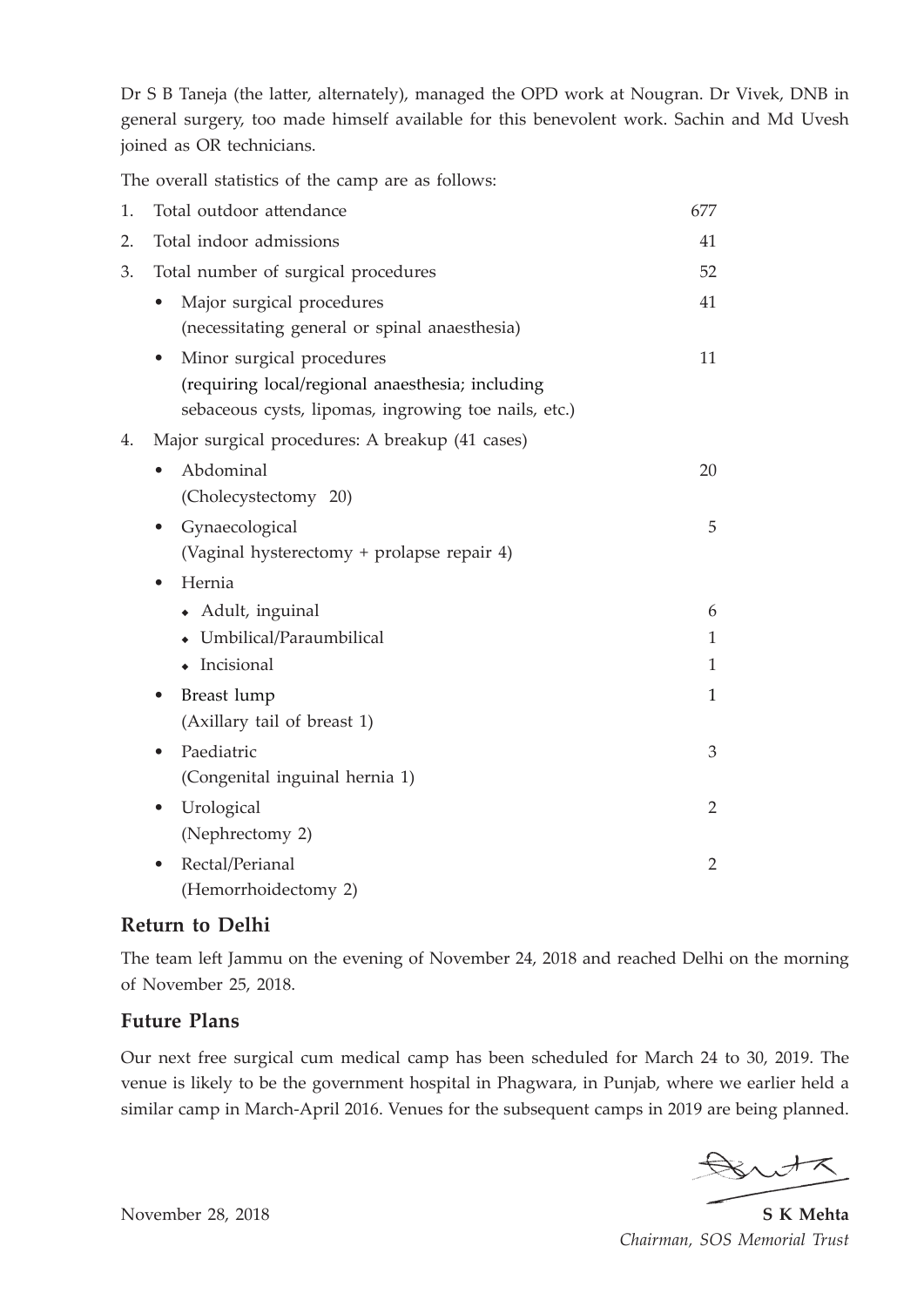Dr S B Taneja (the latter, alternately), managed the OPD work at Nougran. Dr Vivek, DNB in general surgery, too made himself available for this benevolent work. Sachin and Md Uvesh joined as OR technicians.

The overall statistics of the camp are as follows:

| 1. | Total outdoor attendance                                                                                                                           | 677            |
|----|----------------------------------------------------------------------------------------------------------------------------------------------------|----------------|
| 2. | Total indoor admissions                                                                                                                            | 41             |
| 3. | Total number of surgical procedures                                                                                                                | 52             |
|    | Major surgical procedures<br>(necessitating general or spinal anaesthesia)                                                                         | 41             |
|    | Minor surgical procedures<br>$\bullet$<br>(requiring local/regional anaesthesia; including<br>sebaceous cysts, lipomas, ingrowing toe nails, etc.) | 11             |
| 4. | Major surgical procedures: A breakup (41 cases)                                                                                                    |                |
|    | Abdominal<br>(Cholecystectomy 20)                                                                                                                  | 20             |
|    | Gynaecological<br>$\bullet$<br>(Vaginal hysterectomy + prolapse repair 4)                                                                          | 5              |
|    | Hernia<br>$\bullet$                                                                                                                                |                |
|    | • Adult, inguinal                                                                                                                                  | 6              |
|    | • Umbilical/Paraumbilical                                                                                                                          | $\mathbf{1}$   |
|    | • Incisional                                                                                                                                       | $\mathbf{1}$   |
|    | Breast lump<br>(Axillary tail of breast 1)                                                                                                         | 1              |
|    | Paediatric<br>(Congenital inguinal hernia 1)                                                                                                       | 3              |
|    | Urological<br>(Nephrectomy 2)                                                                                                                      | $\overline{2}$ |
|    | Rectal/Perianal<br>(Hemorrhoidectomy 2)                                                                                                            | $\overline{2}$ |

#### **Return to Delhi**

The team left Jammu on the evening of November 24, 2018 and reached Delhi on the morning of November 25, 2018.

#### **Future Plans**

Our next free surgical cum medical camp has been scheduled for March 24 to 30, 2019. The venue is likely to be the government hospital in Phagwara, in Punjab, where we earlier held a similar camp in March-April 2016. Venues for the subsequent camps in 2019 are being planned.

Butz

November 28, 2018 **S K Mehta**  *Chairman, SOS Memorial Trust*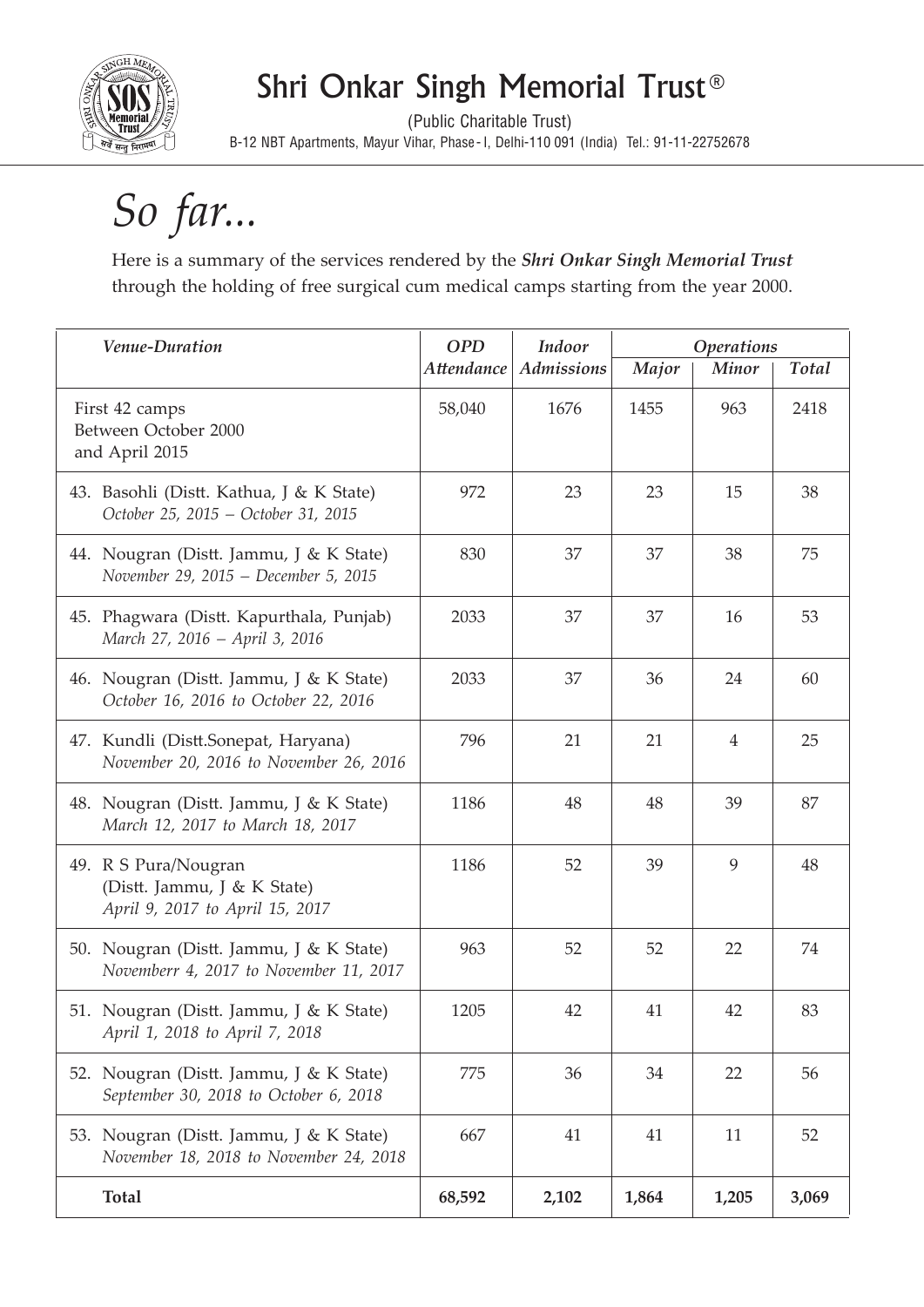

# Shri Onkar Singh Memorial Trust®

(Public Charitable Trust) B-12 NBT Apartments, Mayur Vihar, Phase- I, Delhi-110 091 (India) Tel.: 91-11-22752678

# *So far...*

Here is a summary of the services rendered by the *Shri Onkar Singh Memorial Trust*  through the holding of free surgical cum medical camps starting from the year 2000.

| Venue-Duration                                                                         | <b>OPD</b> | Indoor            | <b>Operations</b> |                |              |
|----------------------------------------------------------------------------------------|------------|-------------------|-------------------|----------------|--------------|
|                                                                                        | Attendance | <b>Admissions</b> | Major             | <b>Minor</b>   | <b>Total</b> |
| First 42 camps<br>Between October 2000<br>and April 2015                               | 58,040     | 1676              | 1455              | 963            | 2418         |
| 43. Basohli (Distt. Kathua, J & K State)<br>October 25, 2015 - October 31, 2015        | 972        | 23                | 23                | 15             | 38           |
| 44. Nougran (Distt. Jammu, J & K State)<br>November 29, 2015 - December 5, 2015        | 830        | 37                | 37                | 38             | 75           |
| 45. Phagwara (Distt. Kapurthala, Punjab)<br>March 27, 2016 - April 3, 2016             | 2033       | 37                | 37                | 16             | 53           |
| 46. Nougran (Distt. Jammu, J & K State)<br>October 16, 2016 to October 22, 2016        | 2033       | 37                | 36                | 24             | 60           |
| 47. Kundli (Distt.Sonepat, Haryana)<br>November 20, 2016 to November 26, 2016          | 796        | 21                | 21                | $\overline{4}$ | 25           |
| 48. Nougran (Distt. Jammu, J & K State)<br>March 12, 2017 to March 18, 2017            | 1186       | 48                | 48                | 39             | 87           |
| 49. R S Pura/Nougran<br>(Distt. Jammu, J & K State)<br>April 9, 2017 to April 15, 2017 | 1186       | 52                | 39                | 9              | 48           |
| 50. Nougran (Distt. Jammu, J & K State)<br>Novemberr 4, 2017 to November 11, 2017      | 963        | 52                | 52                | 22             | 74           |
| 51. Nougran (Distt. Jammu, J & K State)<br>April 1, 2018 to April 7, 2018              | 1205       | 42                | 41                | 42             | 83           |
| 52. Nougran (Distt. Jammu, J & K State)<br>September 30, 2018 to October 6, 2018       | 775        | 36                | 34                | 22             | 56           |
| 53. Nougran (Distt. Jammu, J & K State)<br>November 18, 2018 to November 24, 2018      | 667        | 41                | 41                | 11             | 52           |
| <b>Total</b>                                                                           | 68,592     | 2,102             | 1,864             | 1,205          | 3,069        |